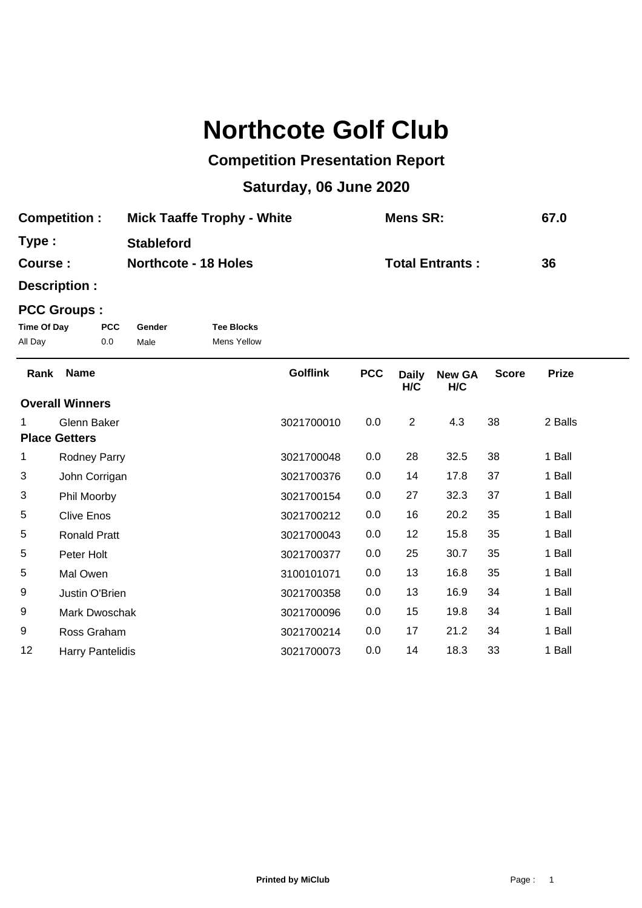## **Northcote Golf Club**

## **Competition Presentation Report**

## **Saturday, 06 June 2020**

| <b>Competition:</b> | <b>Mick Taaffe Trophy - White</b> | <b>Mens SR:</b>        | 67.0 |
|---------------------|-----------------------------------|------------------------|------|
| Type :              | <b>Stableford</b>                 |                        |      |
| <b>Course :</b>     | <b>Northcote - 18 Holes</b>       | <b>Total Entrants:</b> | 36   |

**Description :**

## **PCC Groups :**

| Time Of Day | <b>PCC</b> | Gender | <b>Tee Blocks</b> |
|-------------|------------|--------|-------------------|
| All Day     | 0.0        | Male   | Mens Yellow       |

| Rank                   | <b>Name</b>         | <b>Golflink</b> | <b>PCC</b> | <b>Daily</b><br>H/C | <b>New GA</b><br>H/C | <b>Score</b> | <b>Prize</b> |
|------------------------|---------------------|-----------------|------------|---------------------|----------------------|--------------|--------------|
| <b>Overall Winners</b> |                     |                 |            |                     |                      |              |              |
| 1.                     | Glenn Baker         | 3021700010      | 0.0        | $\overline{2}$      | 4.3                  | 38           | 2 Balls      |
| <b>Place Getters</b>   |                     |                 |            |                     |                      |              |              |
| 1                      | <b>Rodney Parry</b> | 3021700048      | 0.0        | 28                  | 32.5                 | 38           | 1 Ball       |
| 3                      | John Corrigan       | 3021700376      | 0.0        | 14                  | 17.8                 | 37           | 1 Ball       |
| 3                      | Phil Moorby         | 3021700154      | 0.0        | 27                  | 32.3                 | 37           | 1 Ball       |
| 5                      | <b>Clive Enos</b>   | 3021700212      | 0.0        | 16                  | 20.2                 | 35           | 1 Ball       |
| 5                      | <b>Ronald Pratt</b> | 3021700043      | 0.0        | 12                  | 15.8                 | 35           | 1 Ball       |
| 5                      | Peter Holt          | 3021700377      | 0.0        | 25                  | 30.7                 | 35           | 1 Ball       |
| 5                      | Mal Owen            | 3100101071      | 0.0        | 13                  | 16.8                 | 35           | 1 Ball       |
| 9                      | Justin O'Brien      | 3021700358      | 0.0        | 13                  | 16.9                 | 34           | 1 Ball       |
| 9                      | Mark Dwoschak       | 3021700096      | 0.0        | 15                  | 19.8                 | 34           | 1 Ball       |
| 9                      | Ross Graham         | 3021700214      | 0.0        | 17                  | 21.2                 | 34           | 1 Ball       |
| 12                     | Harry Pantelidis    | 3021700073      | 0.0        | 14                  | 18.3                 | 33           | 1 Ball       |